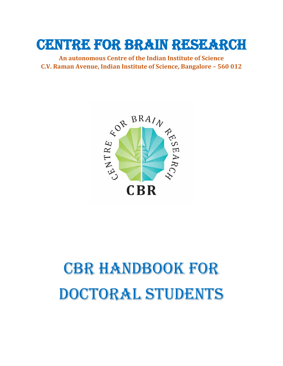## Centre for Brain Research

**An autonomous Centre of the Indian Institute of Science C.V. Raman Avenue, Indian Institute of Science, Bangalore – 560 012**



# CBR HANDBOOK FOR DOCTORAL STUDENTS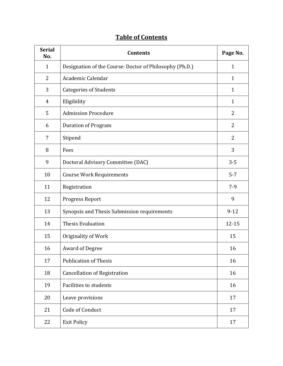|  | <b>Table of Contents</b> |
|--|--------------------------|
|  |                          |

| <b>Serial</b><br>No. | <b>Contents</b>                                         | Page No.       |
|----------------------|---------------------------------------------------------|----------------|
| $\mathbf{1}$         | Designation of the Course: Doctor of Philosophy (Ph.D.) | $\mathbf{1}$   |
| $\overline{2}$       | Academic Calendar                                       | $\mathbf{1}$   |
| 3                    | <b>Categories of Students</b>                           | $\mathbf{1}$   |
| $\overline{4}$       | Eligibility                                             | $\mathbf{1}$   |
| 5                    | <b>Admission Procedure</b>                              | 2              |
| 6                    | <b>Duration of Program</b>                              | $\overline{2}$ |
| 7                    | Stipend                                                 | 2              |
| 8                    | Fees                                                    | 3              |
| 9                    | Doctoral Advisory Committee (DAC)                       | $3 - 5$        |
| 10                   | <b>Course Work Requirements</b>                         | $5 - 7$        |
| 11                   | Registration                                            | $7-9$          |
| 12                   | Progress Report                                         | 9              |
| 13                   | Synopsis and Thesis Submission requirements             | $9 - 12$       |
| 14                   | <b>Thesis Evaluation</b>                                | 12-15          |
| 15                   | Originality of Work                                     | 15             |
| 16                   | <b>Award of Degree</b>                                  | 16             |
| 17                   | <b>Publication of Thesis</b>                            | 16             |
| 18                   | <b>Cancellation of Registration</b>                     | 16             |
| 19                   | <b>Facilities to students</b>                           | 16             |
| 20                   | Leave provisions                                        | 17             |
| 21                   | Code of Conduct                                         | 17             |
| 22                   | <b>Exit Policy</b>                                      | 17             |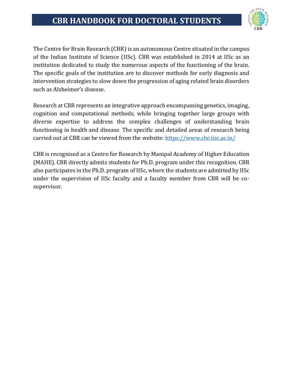

The Centre for Brain Research (CBR) is an autonomous Centre situated in the campus of the Indian Institute of Science (IISc). CBR was established in 2014 at IISc as an institution dedicated to study the numerous aspects of the functioning of the brain. The specific goals of the institution are to discover methods for early diagnosis and intervention strategies to slow down the progression of aging related brain disorders such as Alzheimer's disease.

Research at CBR represents an integrative approach encompassing genetics, imaging, cognition and computational methods, while bringing together large groups with diverse expertise to address the complex challenges of understanding brain functioning in health and disease. The specific and detailed areas of research being carried out at CBR can be viewed from the website: <https://www.cbr.iisc.ac.in/>

CBR is recognised as a Centre for Research by Manipal Academy of Higher Education (MAHE). CBR directly admits students for Ph.D. program under this recognition. CBR also participates in the Ph.D. program of IISc, where the students are admitted by IISc under the supervision of IISc faculty and a faculty member from CBR will be cosupervisor.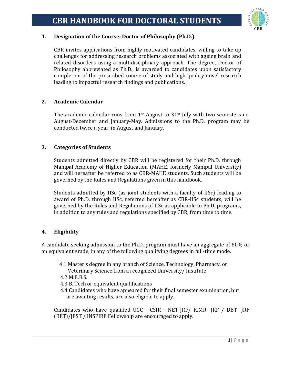

#### **1. Designation of the Course: Doctor of Philosophy (Ph.D.)**

CBR invites applications from highly motivated candidates, willing to take up challenges for addressing research problems associated with ageing brain and related disorders using a multidisciplinary approach. The degree, Doctor of Philosophy abbreviated as Ph.D., is awarded to candidates upon satisfactory completion of the prescribed course of study and high-quality novel research leading to impactful research findings and publications.

#### **2. Academic Calendar**

The academic calendar runs from  $1<sup>st</sup>$  August to  $31<sup>st</sup>$  July with two semesters i.e. August-December and January-May. Admissions to the Ph.D. program may be conducted twice a year, in August and January.

#### **3. Categories of Students**

Students admitted directly by CBR will be registered for their Ph.D. through Manipal Academy of Higher Education (MAHE, formerly Manipal University) and will hereafter be referred to as CBR-MAHE students. Such students will be governed by the Rules and Regulations given in this handbook.

Students admitted by IISc (as joint students with a faculty of IISc) leading to award of Ph.D. through IISc, referred hereafter as CBR-IISc students, will be governed by the Rules and Regulations of IISc as applicable to Ph.D. programs, in addition to any rules and regulations specified by CBR, from time to time.

#### **4. Eligibility**

A candidate seeking admission to the Ph.D. program must have an aggregate of 60% or an equivalent grade, in any of the following qualifying degrees in full-time mode.

- 4.1 Master's degree in any branch of Science, Technology, Pharmacy, or Veterinary Science from a recognized University/ Institute
- 4.2 M.B.B.S.
- 4.3 B. Tech or equivalent qualifications
- 4.4 Candidates who have appeared for their final semester examination, but are awaiting results, are also eligible to apply.

Candidates who have qualified UGC - CSIR - NET-JRF/ ICMR -JRF / DBT- JRF (BET)/JEST / INSPIRE Fellowship are encouraged to apply.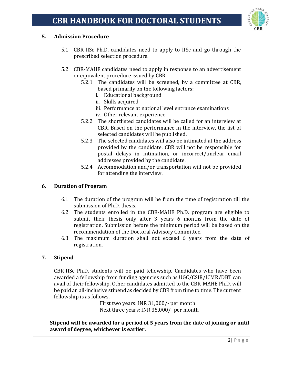

#### **5. Admission Procedure**

- 5.1 CBR-IISc Ph.D. candidates need to apply to IISc and go through the prescribed selection procedure.
- 5.2 CBR-MAHE candidates need to apply in response to an advertisement or equivalent procedure issued by CBR.
	- 5.2.1 The candidates will be screened, by a committee at CBR, based primarily on the following factors:
		- i. Educational background
		- ii. Skills acquired
		- iii. Performance at national level entrance examinations
		- iv. Other relevant experience.
	- 5.2.2 The shortlisted candidates will be called for an interview at CBR. Based on the performance in the interview, the list of selected candidates will be published.
	- 5.2.3 The selected candidates will also be intimated at the address provided by the candidate. CBR will not be responsible for postal delays in intimation, or incorrect/unclear email addresses provided by the candidate.
	- 5.2.4 Accommodation and/or transportation will not be provided for attending the interview.

#### **6. Duration of Program**

- 6.1 The duration of the program will be from the time of registration till the submission of Ph.D. thesis.
- 6.2 The students enrolled in the CBR-MAHE Ph.D. program are eligible to submit their thesis only after 3 years 6 months from the date of registration. Submission before the minimum period will be based on the recommendation of the Doctoral Advisory Committee.
- 6.3 The maximum duration shall not exceed 6 years from the date of registration.

#### **7. Stipend**

CBR-IISc Ph.D. students will be paid fellowship. Candidates who have been awarded a fellowship from funding agencies such as UGC/CSIR/ICMR/DBT can avail of their fellowship. Other candidates admitted to the CBR-MAHE Ph.D. will be paid an all-inclusive stipend as decided by CBR from time to time. The current fellowship is as follows.

First two years: INR 31,000/- per month Next three years: INR 35,000/- per month

**Stipend will be awarded for a period of 5 years from the date of joining or until award of degree, whichever is earlier.**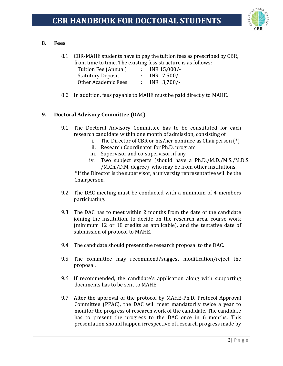

#### **8. Fees**

8.1 CBR-MAHE students have to pay the tuition fees as prescribed by CBR, from time to time. The existing fess structure is as follows:

| Tuition Fee (Annual)       | $\mathcal{L}$ | INR 15,000/-    |
|----------------------------|---------------|-----------------|
| <b>Statutory Deposit</b>   |               | : INR $7,500/-$ |
| <b>Other Academic Fees</b> | di s          | $INR$ 3,700/-   |

8.2 In addition, fees payable to MAHE must be paid directly to MAHE.

#### **9. Doctoral Advisory Committee (DAC)**

- 9.1 The Doctoral Advisory Committee has to be constituted for each research candidate within one month of admission, consisting of
	- i. The Director of CBR or his/her nominee as Chairperson (\*)
	- ii. Research Coordinator for Ph.D. program
	- iii. Supervisor and co-supervisor, if any
	- iv. Two subject experts (should have a Ph.D./M.D./M.S./M.D.S. /M.Ch./D.M. degree) who may be from other institutions.

\* If the Director is the supervisor, a university representative will be the Chairperson.

- 9.2 The DAC meeting must be conducted with a minimum of 4 members participating.
- 9.3 The DAC has to meet within 2 months from the date of the candidate joining the institution, to decide on the research area, course work (minimum 12 or 18 credits as applicable), and the tentative date of submission of protocol to MAHE.
- 9.4 The candidate should present the research proposal to the DAC.
- 9.5 The committee may recommend/suggest modification/reject the proposal.
- 9.6 If recommended, the candidate's application along with supporting documents has to be sent to MAHE.
- 9.7 After the approval of the protocol by MAHE-Ph.D. Protocol Approval Committee (PPAC), the DAC will meet mandatorily twice a year to monitor the progress of research work of the candidate. The candidate has to present the progress to the DAC once in 6 months. This presentation should happen irrespective of research progress made by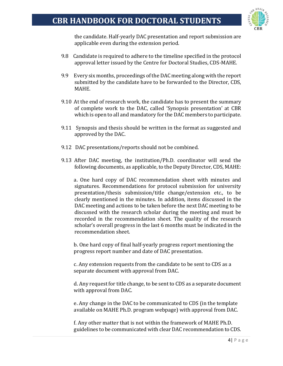

the candidate. Half-yearly DAC presentation and report submission are applicable even during the extension period.

- 9.8 Candidate is required to adhere to the timeline specified in the protocol approval letter issued by the Centre for Doctoral Studies, CDS-MAHE.
- 9.9 Every six months, proceedings of the DAC meeting along with the report submitted by the candidate have to be forwarded to the Director, CDS, MAHE.
- 9.10 At the end of research work, the candidate has to present the summary of complete work to the DAC, called 'Synopsis presentation' at CBR which is open to all and mandatory for the DAC members to participate.
- 9.11 Synopsis and thesis should be written in the format as suggested and approved by the DAC.
- 9.12 DAC presentations/reports should not be combined.
- 9.13 After DAC meeting, the institution/Ph.D. coordinator will send the following documents, as applicable, to the Deputy Director, CDS, MAHE:

a. One hard copy of DAC recommendation sheet with minutes and signatures. Recommendations for protocol submission for university presentation/thesis submission/title change/extension etc., to be clearly mentioned in the minutes. In addition, items discussed in the DAC meeting and actions to be taken before the next DAC meeting to be discussed with the research scholar during the meeting and must be recorded in the recommendation sheet. The quality of the research scholar's overall progress in the last 6 months must be indicated in the recommendation sheet.

b. One hard copy of final half-yearly progress report mentioning the progress report number and date of DAC presentation.

c. Any extension requests from the candidate to be sent to CDS as a separate document with approval from DAC.

d. Any request for title change, to be sent to CDS as a separate document with approval from DAC.

e. Any change in the DAC to be communicated to CDS (in the template available on MAHE Ph.D. program webpage) with approval from DAC.

f. Any other matter that is not within the framework of MAHE Ph.D. guidelines to be communicated with clear DAC recommendation to CDS.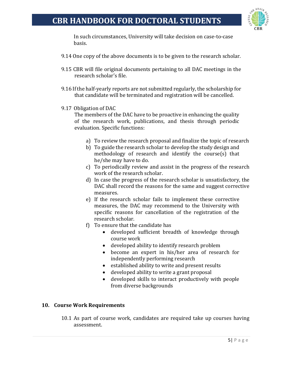

In such circumstances, University will take decision on case-to-case basis.

- 9.14 One copy of the above documents is to be given to the research scholar.
- 9.15 CBR will file original documents pertaining to all DAC meetings in the research scholar's file.
- 9.16 If the half-yearly reports are not submitted regularly, the scholarship for that candidate will be terminated and registration will be cancelled.
- 9.17 Obligation of DAC

The members of the DAC have to be proactive in enhancing the quality of the research work, publications, and thesis through periodic evaluation. Specific functions:

- a) To review the research proposal and finalize the topic of research
- b) To guide the research scholar to develop the study design and methodology of research and identify the course(s) that he/she may have to do.
- c) To periodically review and assist in the progress of the research work of the research scholar.
- d) In case the progress of the research scholar is unsatisfactory, the DAC shall record the reasons for the same and suggest corrective measures.
- e) If the research scholar fails to implement these corrective measures, the DAC may recommend to the University with specific reasons for cancellation of the registration of the research scholar.
- f) To ensure that the candidate has
	- developed sufficient breadth of knowledge through course work
	- developed ability to identify research problem
	- become an expert in his/her area of research for independently performing research
	- established ability to write and present results
	- developed ability to write a grant proposal
	- developed skills to interact productively with people from diverse backgrounds

#### **10. Course Work Requirements**

10.1 As part of course work, candidates are required take up courses having assessment.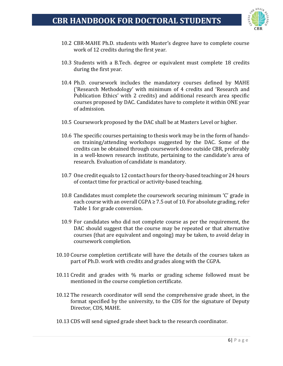

- 10.2 CBR-MAHE Ph.D. students with Master's degree have to complete course work of 12 credits during the first year.
- 10.3 Students with a B.Tech. degree or equivalent must complete 18 credits during the first year.
- 10.4 Ph.D. coursework includes the mandatory courses defined by MAHE ('Research Methodology' with minimum of 4 credits and 'Research and Publication Ethics' with 2 credits) and additional research area specific courses proposed by DAC. Candidates have to complete it within ONE year of admission.
- 10.5 Coursework proposed by the DAC shall be at Masters Level or higher.
- 10.6 The specific courses pertaining to thesis work may be in the form of handson training/attending workshops suggested by the DAC. Some of the credits can be obtained through coursework done outside CBR, preferably in a well-known research institute, pertaining to the candidate's area of research. Evaluation of candidate is mandatory.
- 10.7 One credit equals to 12 contact hours for theory-based teaching or 24 hours of contact time for practical or activity-based teaching.
- 10.8 Candidates must complete the coursework securing minimum 'C' grade in each course with an overall CGPA  $\geq 7.5$  out of 10. For absolute grading, refer Table 1 for grade conversion.
- 10.9 For candidates who did not complete course as per the requirement, the DAC should suggest that the course may be repeated or that alternative courses (that are equivalent and ongoing) may be taken, to avoid delay in coursework completion.
- 10.10 Course completion certificate will have the details of the courses taken as part of Ph.D. work with credits and grades along with the CGPA.
- 10.11 Credit and grades with % marks or grading scheme followed must be mentioned in the course completion certificate.
- 10.12 The research coordinator will send the comprehensive grade sheet, in the format specified by the university, to the CDS for the signature of Deputy Director, CDS, MAHE.
- 10.13 CDS will send signed grade sheet back to the research coordinator.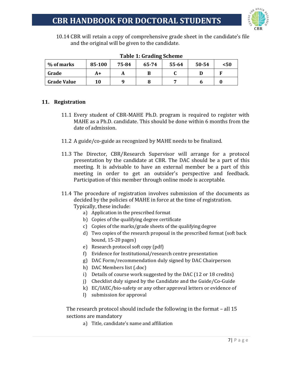

10.14 CBR will retain a copy of comprehensive grade sheet in the candidate's file and the original will be given to the candidate.

| rable 1. drauing scheme |        |       |       |       |       |      |  |  |  |  |
|-------------------------|--------|-------|-------|-------|-------|------|--|--|--|--|
| % of marks              | 85-100 | 75-84 | 65-74 | 55-64 | 50-54 | < 50 |  |  |  |  |
| Grade                   | A+     |       |       |       |       |      |  |  |  |  |
| <b>Grade Value</b>      | 10     |       |       |       |       |      |  |  |  |  |

#### **Table 1: Grading Scheme**

#### **11. Registration**

- 11.1 Every student of CBR-MAHE Ph.D. program is required to register with MAHE as a Ph.D. candidate. This should be done within 6 months from the date of admission.
- 11.2 A guide/co-guide as recognized by MAHE needs to be finalized.
- 11.3 The Director, CBR/Research Supervisor will arrange for a protocol presentation by the candidate at CBR. The DAC should be a part of this meeting. It is advisable to have an external member be a part of this meeting in order to get an outsider's perspective and feedback. Participation of this member through online mode is acceptable.
- 11.4 The procedure of registration involves submission of the documents as decided by the policies of MAHE in force at the time of registration. Typically, these include:
	- a) Application in the prescribed format
	- b) Copies of the qualifying degree certificate
	- c) Copies of the marks/grade sheets of the qualifying degree
	- d) Two copies of the research proposal in the prescribed format (soft back bound, 15-20 pages)
	- e) Research protocol soft copy (pdf)
	- f) Evidence for Institutional/research centre presentation
	- g) DAC Form/recommendation duly signed by DAC Chairperson
	- h) DAC Members list (.doc)
	- i) Details of course work suggested by the DAC (12 or 18 credits)
	- j) Checklist duly signed by the Candidate and the Guide/Co-Guide
	- k) EC/IAEC/bio-safety or any other approval letters or evidence of
	- l) submission for approval

The research protocol should include the following in the format – all 15 sections are mandatory

a) Title, candidate's name and affiliation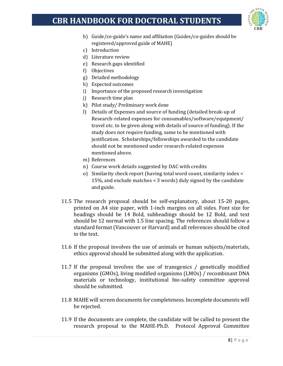

- b) Guide/co-guide's name and affiliation (Guides/co-guides should be registered/approved guide of MAHE)
- c) Introduction
- d) Literature review
- e) Research gaps identified
- f) Objectives
- g) Detailed methodology
- h) Expected outcomes
- i) Importance of the proposed research investigation
- j) Research time plan
- k) Pilot study/ Preliminary work done
- l) Details of Expenses and source of funding (detailed break-up of Research-related expenses for consumables/software/equipment/ travel etc. to be given along with details of source of funding). If the study does not require funding, same to be mentioned with justification. Scholarships/fellowships awarded to the candidate should not be mentioned under research-related expenses mentioned above.
- m) References
- n) Course work details suggested by DAC with credits
- o) Similarity check report (having total word count, similarity index < 15%, and exclude matches < 3 words) duly signed by the candidate and guide.
- 11.5 The research proposal should be self-explanatory, about 15-20 pages, printed on A4 size paper, with 1-inch margins on all sides. Font size for headings should be 14 Bold, subheadings should be 12 Bold, and text should be 12 normal with 1.5 line spacing. The references should follow a standard format (Vancouver or Harvard) and all references should be cited in the text.
- 11.6 If the proposal involves the use of animals or human subjects/materials, ethics approval should be submitted along with the application.
- 11.7 If the proposal involves the use of transgenics / genetically modified organisms (GMOs), living modified organisms (LMOs) / recombinant DNA materials or technology, institutional bio-safety committee approval should be submitted.
- 11.8 MAHE will screen documents for completeness. Incomplete documents will be rejected.
- 11.9 If the documents are complete, the candidate will be called to present the research proposal to the MAHE-Ph.D. Protocol Approval Committee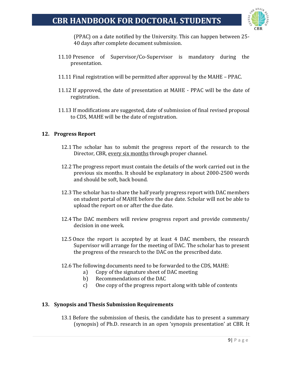

(PPAC) on a date notified by the University. This can happen between 25- 40 days after complete document submission.

- 11.10 Presence of Supervisor/Co-Supervisor is mandatory during the presentation.
- 11.11 Final registration will be permitted after approval by the MAHE PPAC.
- 11.12 If approved, the date of presentation at MAHE PPAC will be the date of registration.
- 11.13 If modifications are suggested, date of submission of final revised proposal to CDS, MAHE will be the date of registration.

#### **12. Progress Report**

- 12.1 The scholar has to submit the progress report of the research to the Director, CBR, every six months through proper channel.
- 12.2 The progress report must contain the details of the work carried out in the previous six months. It should be explanatory in about 2000-2500 words and should be soft, back bound.
- 12.3 The scholar has to share the half yearly progress report with DAC members on student portal of MAHE before the due date. Scholar will not be able to upload the report on or after the due date.
- 12.4 The DAC members will review progress report and provide comments/ decision in one week.
- 12.5 Once the report is accepted by at least 4 DAC members, the research Supervisor will arrange for the meeting of DAC. The scholar has to present the progress of the research to the DAC on the prescribed date.
- 12.6 The following documents need to be forwarded to the CDS, MAHE:
	- a) Copy of the signature sheet of DAC meeting
	- b) Recommendations of the DAC
	- c) One copy of the progress report along with table of contents

#### **13. Synopsis and Thesis Submission Requirements**

13.1 Before the submission of thesis, the candidate has to present a summary (synopsis) of Ph.D. research in an open 'synopsis presentation' at CBR. It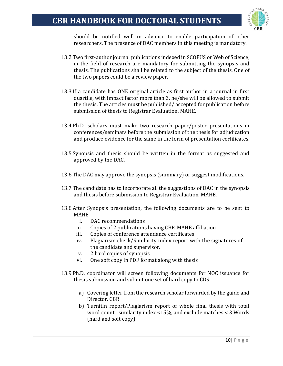

should be notified well in advance to enable participation of other researchers. The presence of DAC members in this meeting is mandatory.

- 13.2 Two first-author journal publications indexed in SCOPUS or Web of Science, in the field of research are mandatory for submitting the synopsis and thesis. The publications shall be related to the subject of the thesis. One of the two papers could be a review paper.
- 13.3 If a candidate has ONE original article as first author in a journal in first quartile, with impact factor more than 3, he/she will be allowed to submit the thesis. The articles must be published/ accepted for publication before submission of thesis to Registrar Evaluation, MAHE.
- 13.4 Ph.D. scholars must make two research paper/poster presentations in conferences/seminars before the submission of the thesis for adjudication and produce evidence for the same in the form of presentation certificates.
- 13.5 Synopsis and thesis should be written in the format as suggested and approved by the DAC.
- 13.6 The DAC may approve the synopsis (summary) or suggest modifications.
- 13.7 The candidate has to incorporate all the suggestions of DAC in the synopsis and thesis before submission to Registrar Evaluation, MAHE.
- 13.8 After Synopsis presentation, the following documents are to be sent to MAHE
	- i. DAC recommendations
	- ii. Copies of 2 publications having CBR-MAHE affiliation
	- iii. Copies of conference attendance certificates
	- iv. Plagiarism check/Similarity index report with the signatures of the candidate and supervisor.
	- v. 2 hard copies of synopsis
	- vi. One soft copy in PDF format along with thesis
- 13.9 Ph.D. coordinator will screen following documents for NOC issuance for thesis submission and submit one set of hard copy to CDS.
	- a) Covering letter from the research scholar forwarded by the guide and Director, CBR
	- b) Turnitin report/Plagiarism report of whole final thesis with total word count, similarity index <15%, and exclude matches < 3 Words (hard and soft copy)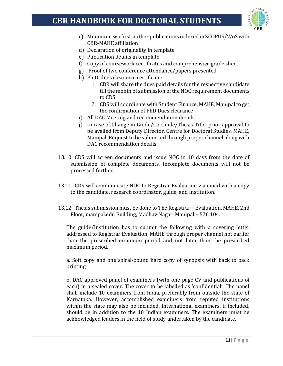

- c) Minimum two first-author publications indexed in SCOPUS/WoS with CBR-MAHE affiliation
- d) Declaration of originality in template
- e) Publication details in template
- f) Copy of coursework certificates and comprehensive grade sheet
- g) Proof of two conference attendance/papers presented
- h) Ph.D. dues clearance certificate:
	- 1. CBR will share the dues paid details for the respective candidate till the month of submission of the NOC requirement documents to CDS
	- 2. CDS will coordinate with Student Finance, MAHE, Manipal to get the confirmation of PhD Dues clearance
- i) All DAC Meeting and recommendation details
- j) In case of Change in Guide/Co-Guide/Thesis Title, prior approval to be availed from Deputy Director, Centre for Doctoral Studies, MAHE, Manipal. Request to be submitted through proper channel along with DAC recommendation details.
- 13.10 CDS will screen documents and issue NOC in 10 days from the date of submission of complete documents. Incomplete documents will not be processed further.
- 13.11 CDS will communicate NOC to Registrar Evaluation via email with a copy to the candidate, research coordinator, guide, and Institution.
- 13.12 Thesis submission must be done to The Registrar Evaluation, MAHE, 2nd Floor, manipal.edu Building, Madhav Nagar, Manipal – 576 104.

The guide/Institution has to submit the following with a covering letter addressed to Registrar Evaluation, MAHE through proper channel not earlier than the prescribed minimum period and not later than the prescribed maximum period.

a. Soft copy and one spiral-bound hard copy of synopsis with back to back printing

b. DAC approved panel of examiners (with one-page CV and publications of each) in a sealed cover. The cover to be labelled as 'confidential'. The panel shall include 10 examiners from India, preferably from outside the state of Karnataka. However, accomplished examiners from reputed institutions within the state may also be included. International examiners, if included, should be in addition to the 10 Indian examiners. The examiners must be acknowledged leaders in the field of study undertaken by the candidate.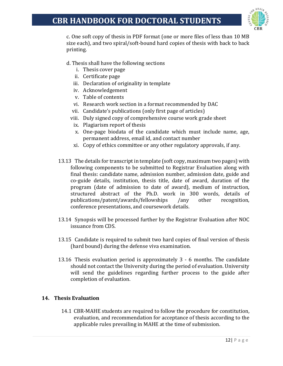

c. One soft copy of thesis in PDF format (one or more files of less than 10 MB size each), and two spiral/soft-bound hard copies of thesis with back to back printing.

- d. Thesis shall have the following sections
	- i. Thesis cover page
	- ii. Certificate page
	- iii. Declaration of originality in template
	- iv. Acknowledgement
	- v. Table of contents
	- vi. Research work section in a format recommended by DAC
	- vii. Candidate's publications (only first page of articles)
	- viii. Duly signed copy of comprehensive course work grade sheet
	- ix. Plagiarism report of thesis
	- x. One-page biodata of the candidate which must include name, age, permanent address, email id, and contact number
	- xi. Copy of ethics committee or any other regulatory approvals, if any.
- 13.13 The details for transcript in template (soft copy, maximum two pages) with following components to be submitted to Registrar Evaluation along with final thesis: candidate name, admission number, admission date, guide and co-guide details, institution, thesis title, date of award, duration of the program (date of admission to date of award), medium of instruction, structured abstract of the Ph.D. work in 300 words, details of publications/patent/awards/fellowships /any other recognition, conference presentations, and coursework details.
- 13.14 Synopsis will be processed further by the Registrar Evaluation after NOC issuance from CDS.
- 13.15 Candidate is required to submit two hard copies of final version of thesis (hard bound) during the defense viva examination.
- 13.16 Thesis evaluation period is approximately 3 6 months. The candidate should not contact the University during the period of evaluation. University will send the guidelines regarding further process to the guide after completion of evaluation.

#### **14. Thesis Evaluation**

14.1 CBR-MAHE students are required to follow the procedure for constitution, evaluation, and recommendation for acceptance of thesis according to the applicable rules prevailing in MAHE at the time of submission.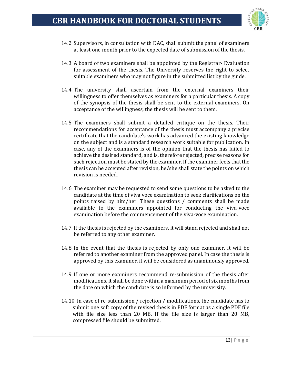

- 14.2 Supervisors, in consultation with DAC, shall submit the panel of examiners at least one month prior to the expected date of submission of the thesis.
- 14.3 A board of two examiners shall be appointed by the Registrar- Evaluation for assessment of the thesis. The University reserves the right to select suitable examiners who may not figure in the submitted list by the guide.
- 14.4 The university shall ascertain from the external examiners their willingness to offer themselves as examiners for a particular thesis. A copy of the synopsis of the thesis shall be sent to the external examiners. On acceptance of the willingness, the thesis will be sent to them.
- 14.5 The examiners shall submit a detailed critique on the thesis. Their recommendations for acceptance of the thesis must accompany a precise certificate that the candidate's work has advanced the existing knowledge on the subject and is a standard research work suitable for publication. In case, any of the examiners is of the opinion that the thesis has failed to achieve the desired standard, and is, therefore rejected, precise reasons for such rejection must be stated by the examiner. If the examiner feels that the thesis can be accepted after revision, he/she shall state the points on which revision is needed.
- 14.6 The examiner may be requested to send some questions to be asked to the candidate at the time of viva voce examination to seek clarifications on the points raised by him/her. These questions / comments shall be made available to the examiners appointed for conducting the viva-voce examination before the commencement of the viva-voce examination.
- 14.7 If the thesis is rejected by the examiners, it will stand rejected and shall not be referred to any other examiner.
- 14.8 In the event that the thesis is rejected by only one examiner, it will be referred to another examiner from the approved panel. In case the thesis is approved by this examiner, it will be considered as unanimously approved.
- 14.9 If one or more examiners recommend re-submission of the thesis after modifications, it shall be done within a maximum period of six months from the date on which the candidate is so informed by the university.
- 14.10 In case of re-submission / rejection / modifications, the candidate has to submit one soft copy of the revised thesis in PDF format as a single PDF file with file size less than 20 MB. If the file size is larger than 20 MB, compressed file should be submitted.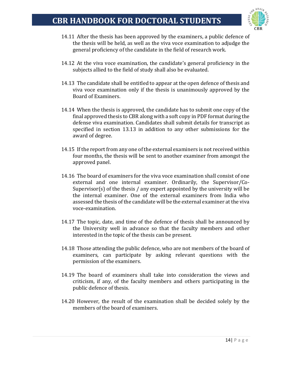

- 14.11 After the thesis has been approved by the examiners, a public defence of the thesis will be held, as well as the viva voce examination to adjudge the general proficiency of the candidate in the field of research work.
- 14.12 At the viva voce examination, the candidate's general proficiency in the subjects allied to the field of study shall also be evaluated.
- 14.13 The candidate shall be entitled to appear at the open defence of thesis and viva voce examination only if the thesis is unanimously approved by the Board of Examiners.
- 14.14 When the thesis is approved, the candidate has to submit one copy of the final approved thesis to CBR along with a soft copy in PDF format during the defense viva examination. Candidates shall submit details for transcript as specified in section 13.13 in addition to any other submissions for the award of degree.
- 14.15 If the report from any one of the external examiners is not received within four months, the thesis will be sent to another examiner from amongst the approved panel.
- 14.16 The board of examiners for the viva voce examination shall consist of one external and one internal examiner. Ordinarily, the Supervisor/Co-Supervisor(s) of the thesis / any expert appointed by the university will be the internal examiner. One of the external examiners from India who assessed the thesis of the candidate will be the external examiner at the viva voce-examination.
- 14.17 The topic, date, and time of the defence of thesis shall be announced by the University well in advance so that the faculty members and other interested in the topic of the thesis can be present.
- 14.18 Those attending the public defence, who are not members of the board of examiners, can participate by asking relevant questions with the permission of the examiners.
- 14.19 The board of examiners shall take into consideration the views and criticism, if any, of the faculty members and others participating in the public defence of thesis.
- 14.20 However, the result of the examination shall be decided solely by the members of the board of examiners.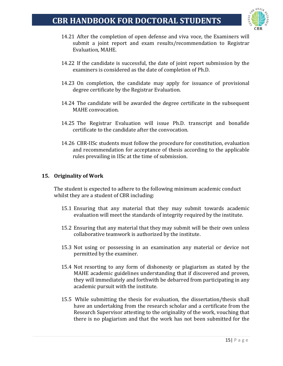

- 14.21 After the completion of open defense and viva voce, the Examiners will submit a joint report and exam results/recommendation to Registrar Evaluation, MAHE.
- 14.22 If the candidate is successful, the date of joint report submission by the examiners is considered as the date of completion of Ph.D.
- 14.23 On completion, the candidate may apply for issuance of provisional degree certificate by the Registrar Evaluation.
- 14.24 The candidate will be awarded the degree certificate in the subsequent MAHE convocation.
- 14.25 The Registrar Evaluation will issue Ph.D. transcript and bonafide certificate to the candidate after the convocation.
- 14.26 CBR-IISc students must follow the procedure for constitution, evaluation and recommendation for acceptance of thesis according to the applicable rules prevailing in IISc at the time of submission.

#### **15. Originality of Work**

The student is expected to adhere to the following minimum academic conduct whilst they are a student of CBR including:

- 15.1 Ensuring that any material that they may submit towards academic evaluation will meet the standards of integrity required by the institute.
- 15.2 Ensuring that any material that they may submit will be their own unless collaborative teamwork is authorized by the institute.
- 15.3 Not using or possessing in an examination any material or device not permitted by the examiner.
- 15.4 Not resorting to any form of dishonesty or plagiarism as stated by the MAHE academic guidelines understanding that if discovered and proven, they will immediately and forthwith be debarred from participating in any academic pursuit with the institute.
- 15.5 While submitting the thesis for evaluation, the dissertation/thesis shall have an undertaking from the research scholar and a certificate from the Research Supervisor attesting to the originality of the work, vouching that there is no plagiarism and that the work has not been submitted for the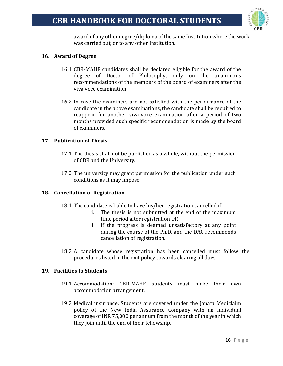

award of any other degree/diploma of the same Institution where the work was carried out, or to any other Institution.

#### **16. Award of Degree**

- 16.1 CBR-MAHE candidates shall be declared eligible for the award of the degree of Doctor of Philosophy, only on the unanimous recommendations of the members of the board of examiners after the viva voce examination.
- 16.2 In case the examiners are not satisfied with the performance of the candidate in the above examinations, the candidate shall be required to reappear for another viva-voce examination after a period of two months provided such specific recommendation is made by the board of examiners.

#### **17. Publication of Thesis**

- 17.1 The thesis shall not be published as a whole, without the permission of CBR and the University.
- 17.2 The university may grant permission for the publication under such conditions as it may impose.

#### **18. Cancellation of Registration**

- 18.1 The candidate is liable to have his/her registration cancelled if
	- i. The thesis is not submitted at the end of the maximum time period after registration OR
	- ii. If the progress is deemed unsatisfactory at any point during the course of the Ph.D. and the DAC recommends cancellation of registration.
- 18.2 A candidate whose registration has been cancelled must follow the procedures listed in the exit policy towards clearing all dues.

#### **19. Facilities to Students**

- 19.1 Accommodation: CBR-MAHE students must make their own accommodation arrangement.
- 19.2 Medical insurance: Students are covered under the Janata Mediclaim policy of the New India Assurance Company with an individual coverage of INR 75,000 per annum from the month of the year in which they join until the end of their fellowship.